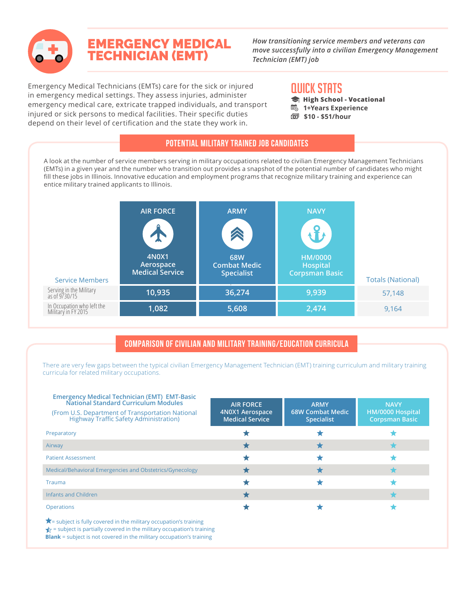

# EMERGENCY MEDICAL TECHNICIAN (EMT)

*How transitioning service members and veterans can move successfully into a civilian Emergency Management Technician (EMT) job*

Emergency Medical Technicians (EMTs) care for the sick or injured in emergency medical settings. They assess injuries, administer emergency medical care, extricate trapped individuals, and transport injured or sick persons to medical facilities. Their specific duties depend on their level of certification and the state they work in.

# QUICK STATS

- **High School Vocational**
- **1+Years Experience**
- **\$10 \$51/hour**

#### Potential Military Trained Job Candidates

A look at the number of service members serving in military occupations related to civilian Emergency Management Technicians (EMTs) in a given year and the number who transition out provides a snapshot of the potential number of candidates who might fill these jobs in Illinois. Innovative education and employment programs that recognize military training and experience can entice military trained applicants to Illinois.

| <b>Service Members</b>                            | <b>AIR FORCE</b><br>4N0X1<br>Aerospace<br><b>Medical Service</b> | <b>ARMY</b><br>A<br><b>68W</b><br><b>Combat Medic</b><br><b>Specialist</b> | <b>NAVY</b><br><b>HM/0000</b><br><b>Hospital</b><br><b>Corpsman Basic</b> | <b>Totals (National)</b> |
|---------------------------------------------------|------------------------------------------------------------------|----------------------------------------------------------------------------|---------------------------------------------------------------------------|--------------------------|
| Serving in the Military<br>as of 9/30/15          | 10,935                                                           | 36,274                                                                     | 9,939                                                                     | 57,148                   |
| In Occupation who left the<br>Military in FY 2015 | 1,082                                                            | 5,608                                                                      | 2,474                                                                     | 9,164                    |

## Comparison of Civilian and Military Training/Education Curricula

There are very few gaps between the typical civilian Emergency Management Technician (EMT) training curriculum and military training curricula for related military occupations.

| <b>Emergency Medical Technician (EMT) EMT-Basic</b><br>National Standard Curriculum Modules<br>(From U.S. Department of Transportation National<br><b>Highway Traffic Safety Administration)</b>                                                | <b>AIR FORCE</b><br>4N0X1 Aerospace<br><b>Medical Service</b> | <b>ARMY</b><br><b>68W Combat Medic</b><br><b>Specialist</b> | <b>NAVY</b><br>HM/0000 Hospital<br><b>Corpsman Basic</b> |  |
|-------------------------------------------------------------------------------------------------------------------------------------------------------------------------------------------------------------------------------------------------|---------------------------------------------------------------|-------------------------------------------------------------|----------------------------------------------------------|--|
| Preparatory                                                                                                                                                                                                                                     |                                                               |                                                             |                                                          |  |
| Airway                                                                                                                                                                                                                                          |                                                               |                                                             |                                                          |  |
| <b>Patient Assessment</b>                                                                                                                                                                                                                       |                                                               |                                                             |                                                          |  |
| Medical/Behavioral Emergencies and Obstetrics/Gynecology                                                                                                                                                                                        |                                                               |                                                             |                                                          |  |
| Trauma                                                                                                                                                                                                                                          |                                                               |                                                             |                                                          |  |
| Infants and Children                                                                                                                                                                                                                            |                                                               |                                                             |                                                          |  |
| <b>Operations</b>                                                                                                                                                                                                                               |                                                               |                                                             |                                                          |  |
| $\bigstar$ = subject is fully covered in the military occupation's training<br>$\downarrow$ = subject is partially covered in the military occupation's training<br><b>Blank</b> = subject is not covered in the military occupation's training |                                                               |                                                             |                                                          |  |